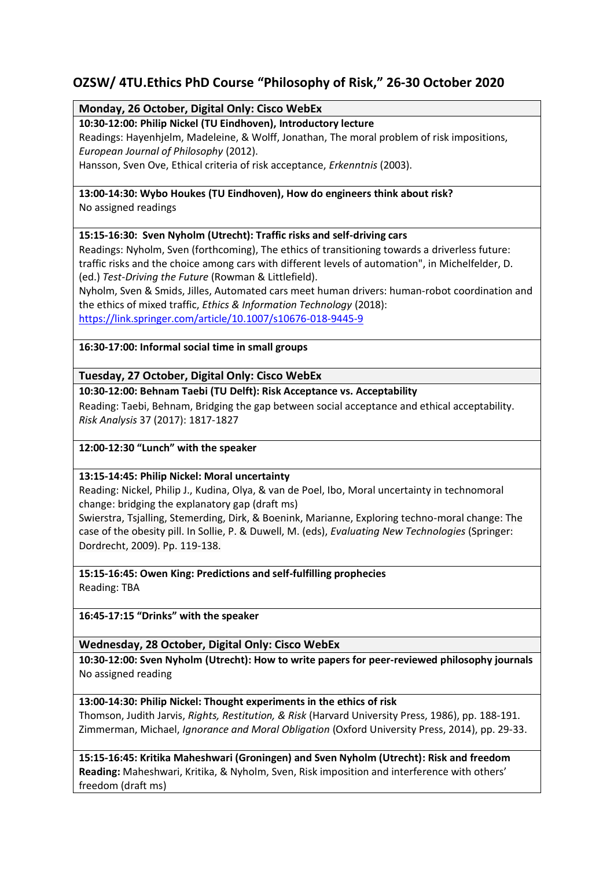# **OZSW/ 4TU.Ethics PhD Course "Philosophy of Risk," 26-30 October 2020**

## **Monday, 26 October, Digital Only: Cisco WebEx**

## **10:30-12:00: Philip Nickel (TU Eindhoven), Introductory lecture**

Readings: Hayenhjelm, Madeleine, & Wolff, Jonathan, The moral problem of risk impositions, *European Journal of Philosophy* (2012).

Hansson, Sven Ove, Ethical criteria of risk acceptance, *Erkenntnis* (2003).

#### **13:00-14:30: Wybo Houkes (TU Eindhoven), How do engineers think about risk?** No assigned readings

## **15:15-16:30: Sven Nyholm (Utrecht): Traffic risks and self-driving cars**

Readings: Nyholm, Sven (forthcoming), The ethics of transitioning towards a driverless future: traffic risks and the choice among cars with different levels of automation", in Michelfelder, D. (ed.) *Test-Driving the Future* (Rowman & Littlefield).

Nyholm, Sven & Smids, Jilles, Automated cars meet human drivers: human-robot coordination and the ethics of mixed traffic, *Ethics & Information Technology* (2018):

<https://link.springer.com/article/10.1007/s10676-018-9445-9>

#### **16:30-17:00: Informal social time in small groups**

## **Tuesday, 27 October, Digital Only: Cisco WebEx**

#### **10:30-12:00: Behnam Taebi (TU Delft): Risk Acceptance vs. Acceptability**

Reading: Taebi, Behnam, Bridging the gap between social acceptance and ethical acceptability. *Risk Analysis* 37 (2017): 1817-1827

#### **12:00-12:30 "Lunch" with the speaker**

#### **13:15-14:45: Philip Nickel: Moral uncertainty**

Reading: Nickel, Philip J., Kudina, Olya, & van de Poel, Ibo, Moral uncertainty in technomoral change: bridging the explanatory gap (draft ms)

Swierstra, Tsjalling, Stemerding, Dirk, & Boenink, Marianne, Exploring techno-moral change: The case of the obesity pill. In Sollie, P. & Duwell, M. (eds), *Evaluating New Technologies* (Springer: Dordrecht, 2009). Pp. 119-138.

## **15:15-16:45: Owen King: Predictions and self-fulfilling prophecies**

Reading: TBA

#### **16:45-17:15 "Drinks" with the speaker**

#### **Wednesday, 28 October, Digital Only: Cisco WebEx**

**10:30-12:00: Sven Nyholm (Utrecht): How to write papers for peer-reviewed philosophy journals** No assigned reading

#### **13:00-14:30: Philip Nickel: Thought experiments in the ethics of risk**

Thomson, Judith Jarvis, *Rights, Restitution, & Risk* (Harvard University Press, 1986), pp. 188-191. Zimmerman, Michael, *Ignorance and Moral Obligation* (Oxford University Press, 2014), pp. 29-33.

**15:15-16:45: Kritika Maheshwari (Groningen) and Sven Nyholm (Utrecht): Risk and freedom Reading:** Maheshwari, Kritika, & Nyholm, Sven, Risk imposition and interference with others' freedom (draft ms)